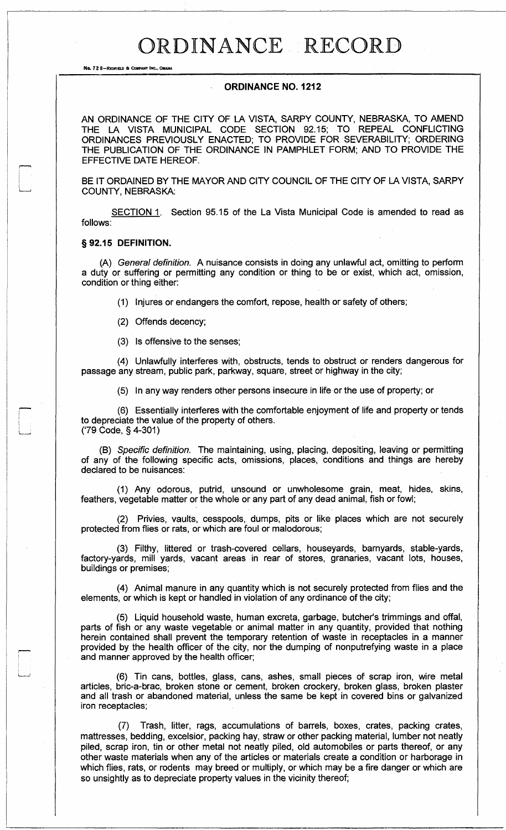### ORDINANCE RECORD

No. 72 8-REDFIELO 6 COMPANY INC.. OMAHA

#### **ORDINANCE NO. 1212**

AN ORDINANCE OF THE CITY OF LA VISTA, SARPY COUNTY, NEBRASKA, TO AMEND THE LA VISTA MUNICIPAL CODE SECTION 92.15; TO REPEAL CONFLICTING ORDINANCES PREVIOUSLY ENACTED; TO PROVIDE FOR SEVERABILITY; ORDERING THE PUBLICATION OF THE ORDINANCE IN PAMPHLET FORM; AND TO PROVIDE THE EFFECTIVE DATE HEREOF.

BE IT ORDAINED BY THE MAYOR AND CITY COUNCIL OF THE CITY OF LA VISTA, SARPY COUNTY, NEBRASKA:

SECTION 1. Section 95.15 of the La Vista Municipal Code is amended to read as follows:

#### **§92.15 DEFINITION.**

(A) *General definition.* A nuisance consists in doing any unlawful act, omitting to perform a duty or suffering or permitting any condition or thing to be or exist, which act, omission, condition or thing either:

(1) Injures or endangers the comfort, repose, health or safety of others;

(2) Offends decency;

(3) Is offensive to the senses;

(4) Unlawfully interferes with, obstructs, tends to obstruct or renders dangerous for passage any stream, public park, parkway, square, street or highway in the city;

(5) In any way renders other persons insecure in life or the use of property; or

(6) Essentially interferes with the comfortable enjoyment of life and property or tends to depreciate the value of the property of others. ('79 Code, §4-301)

(B) *Specific definition.* The maintaining, using, placing, depositing, leaving or permitting of any of the following specific acts, omissions, places, conditions and things are hereby declared to be nuisances:

(1) Any odorous, putrid, unsound or unwholesome grain, meat, hides, skins, feathers, vegetable matter or the whole or any part of any dead animal, fish or fowl;

(2) Privies, vaults, cesspools, dumps, pits or like places which are not securely protected from flies or rats, or which are foul or malodorous;

(3) Filthy, littered or trash-covered cellars, houseyards, barnyards, stable-yards, factory-yards, mill yards, vacant areas in rear of stores, granaries, vacant lots, houses, buildings or premises;

(4) Animal manure in any quantity which is not securely protected from flies and the elements, or which is kept or handled in violation of any ordinance of the city;

(5) Liquid household waste, human excreta, garbage, butcher's trimmings and offal, parts of fish or any waste vegetable or animal matter in any quantity, provided that nothing herein contained shall prevent the temporary retention of waste in receptacles in a manner provided by the health officer of the city, nor the dumping of nonputrefying waste in a place and manner approved by the health officer;

(6) Tin cans, bottles, glass, cans, ashes, small pieces of scrap iron, wire metal articles, bric-a-brac, broken stone or cement, broken crockery, broken glass, broken plaster and all trash or abandoned material, unless the same be kept in covered bins or galvanized iron receptacles;

(7) Trash, litter, rags, accumulations of barrels, boxes, crates, packing crates, mattresses, bedding, excelsior, packing hay, straw or other packing material, lumber not neatly piled, scrap iron, tin or other metal not neatly piled, old automobiles or parts thereof, or any other waste materials when any of the articles or materials create a condition or harborage in which flies, rats, or rodents may breed or multiply, or which may be a fire danger or which are so unsightly as to depreciate property values in the vicinity thereof;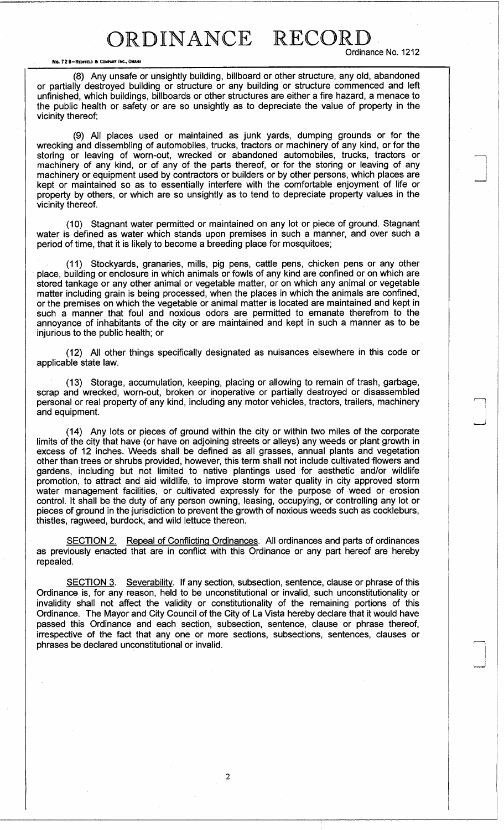No. 72 8-REDFIELD & COMPANY

Ordinance No. 1212

(8) Any unsafe or unsightly building, billboard or other structure, any old, abandoned or partially destroyed building or structure or any building or structure commenced and left unfinished, which buildings, billboards or other structures are either a fire hazard, a menace to the public health or safety or are so unsightly as to depreciate the value of property in the vicinity thereof;

(9) All places used or maintained as junk yards, dumping grounds or for the wrecking and dissembling of automobiles, trucks, tractors or machinery of any kind, or for the storing or leaving of worn-out, wrecked or abandoned automobiles, trucks, tractors or machinery of any kind, or of any of the parts thereof, or for the storing or leaving of any machinery or equipment used by contractors or builders or by other persons, which places are kept or maintained so as to essentially interfere with the comfortable enjoyment of life or property by others, or which are so unsightly as to tend to depreciate property values in the vicinity thereof.

(10) Stagnant water permitted or maintained on any lot or piece of ground. Stagnant water is defined as water which stands upon premises in such a manner, and over such a period of time, that it is likely to become a breeding place for mosquitoes;

(11) Stockyards, granaries, mills, pig pens, cattle pens, chicken pens or any other place, building or enclosure in which animals or fowls of any kind are confined or on which are stored tankage or any other animal or vegetable matter, or on which any animal or vegetable matter including grain is being processed, when the places in which the animals are confined, or the premises on which the vegetable or animal matter is located are maintained and kept in such a manner that foul and noxious odors are permitted to emanate therefrom to the annoyance of inhabitants of the city or are maintained and kept in such a manner as to be injurious to the public health; or

(12) All other things specifically designated as nuisances elsewhere in this code or applicable state law.

(13) Storage, accumulation, keeping, placing or allowing to remain of trash, garbage, scrap and wrecked, worn-out, broken or inoperative or partially destroyed or disassembled personal or real property of any kind, including any motor vehicles, tractors, trailers, machinery and equipment.

(14) Any lots or pieces of ground within the city or within two miles of the corporate limits of the city that have (or have on adjoining streets or alleys) any weeds or plant growth in excess of 12 inches. Weeds shall be defined as all grasses, annual plants and vegetation other than trees or shrubs provided, however, this term shall not include cultivated flowers and gardens, including but not limited to native plantings used for aesthetic and/or wildlife promotion, to attract and aid wildlife, to improve storm water quality in city approved storm water management facilities, or cultivated expressly for the purpose of weed or erosion control. It shall be the duty of any person owning, leasing, occupying, or controlling any lot or pieces of ground in the jurisdiction to prevent the growth of noxious weeds such as cockleburs, thistles, ragweed, burdock, and wild lettuce thereon.

SECTION 2. Repeal of Conflicting Ordinances. All ordinances and parts of ordinances as previously enacted that are in conflict with this Ordinance or any part hereof are hereby repealed.

SECTION 3. Severability. If any section, subsection, sentence, clause or phrase of this Ordinance is, for any reason, held to be unconstitutional or invalid, such unconstitutionality or invalidity shall not affect the validity or constitutionality of the remaining portions of this Ordinance. The Mayor and City Council of the City of La Vista hereby declare that it would have passed this Ordinance and each section, subsection, sentence, clause or phrase thereof, irrespective of the fact that any one or more sections, subsections, sentences, clauses or phrases be declared unconstitutional or invalid.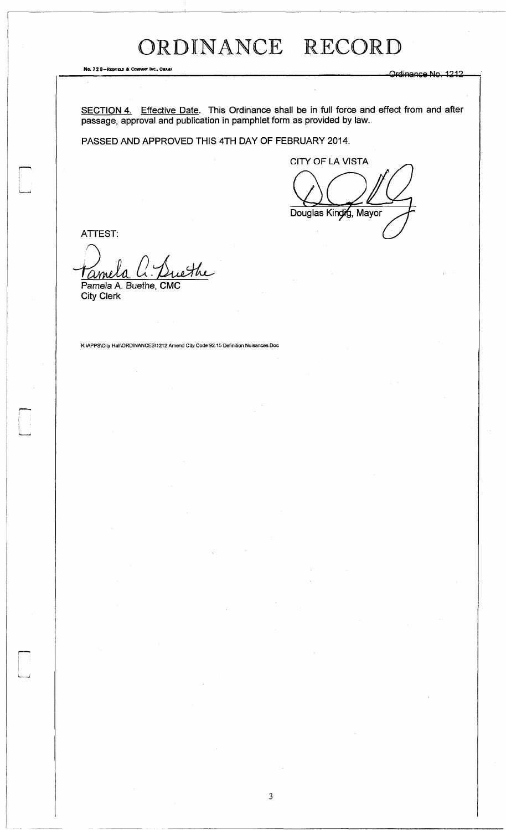## ORDINANCE RECORD

Ng. 72 8—Redfield & Company Inc., Omaha Or di nan cement and celebration of the company of the company of the company of the company of the company of the company of the company of the company of the company of the company

SECTION 4. Effective Date. This Ordinance shall be in full force and effect from and after passage, approval and publication in pamphlet form as provided by law.

3

PASSED AND APPROVED THIS 4TH DAY OF FEBRUARY 2014.

CITY OF LA VISTA

Douglas Kindig, Mayor

ATTEST:

W ame

Pamela A. Buethe, CMC City Clerk

K:\APPS\City Hall\ORDINANCES\1212 Amend City Code 92.15 Definition Nuisances.Doc